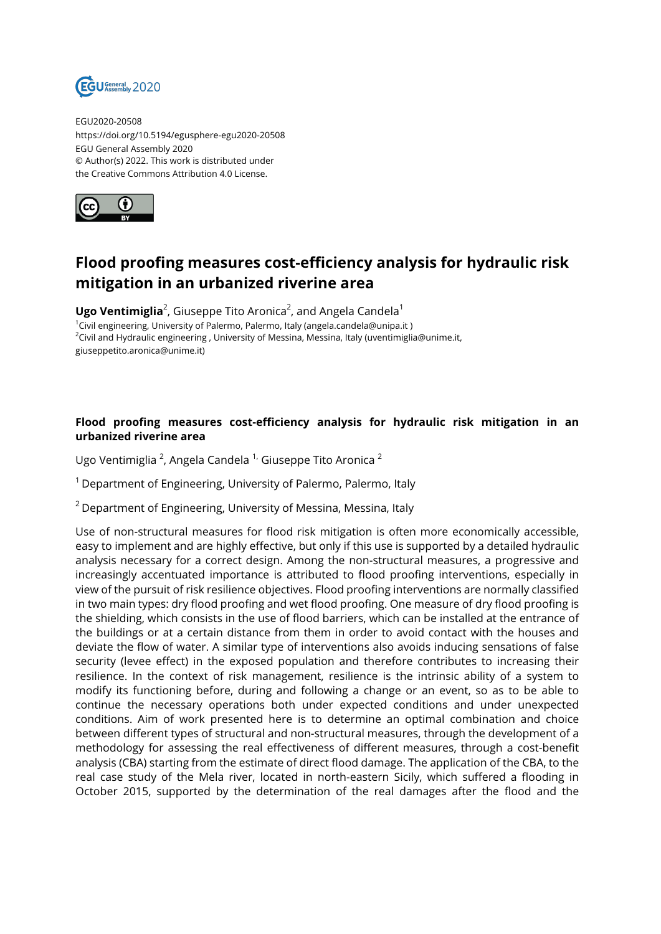

EGU2020-20508 https://doi.org/10.5194/egusphere-egu2020-20508 EGU General Assembly 2020 © Author(s) 2022. This work is distributed under the Creative Commons Attribution 4.0 License.



## **Flood proofing measures cost-efficiency analysis for hydraulic risk mitigation in an urbanized riverine area**

**Ugo Ventimiglia**<sup>2</sup>, Giuseppe Tito Aronica<sup>2</sup>, and Angela Candela<sup>1</sup> <sup>1</sup>Civil engineering, University of Palermo, Palermo, Italy (angela.candela@unipa.it)  $2$ Civil and Hydraulic engineering, University of Messina, Messina, Italy (uventimiglia@unime.it, giuseppetito.aronica@unime.it)

## **Flood proofing measures cost-efficiency analysis for hydraulic risk mitigation in an urbanized riverine area**

Ugo Ventimiglia <sup>2</sup>, Angela Candela <sup>1,</sup> Giuseppe Tito Aronica <sup>2</sup>

 $1$  Department of Engineering, University of Palermo, Palermo, Italy

 $2$  Department of Engineering, University of Messina, Messina, Italy

Use of non-structural measures for flood risk mitigation is often more economically accessible, easy to implement and are highly effective, but only if this use is supported by a detailed hydraulic analysis necessary for a correct design. Among the non-structural measures, a progressive and increasingly accentuated importance is attributed to flood proofing interventions, especially in view of the pursuit of risk resilience objectives. Flood proofing interventions are normally classified in two main types: dry flood proofing and wet flood proofing. One measure of dry flood proofing is the shielding, which consists in the use of flood barriers, which can be installed at the entrance of the buildings or at a certain distance from them in order to avoid contact with the houses and deviate the flow of water. A similar type of interventions also avoids inducing sensations of false security (levee effect) in the exposed population and therefore contributes to increasing their resilience. In the context of risk management, resilience is the intrinsic ability of a system to modify its functioning before, during and following a change or an event, so as to be able to continue the necessary operations both under expected conditions and under unexpected conditions. Aim of work presented here is to determine an optimal combination and choice between different types of structural and non-structural measures, through the development of a methodology for assessing the real effectiveness of different measures, through a cost-benefit analysis (CBA) starting from the estimate of direct flood damage. The application of the CBA, to the real case study of the Mela river, located in north-eastern Sicily, which suffered a flooding in October 2015, supported by the determination of the real damages after the flood and the